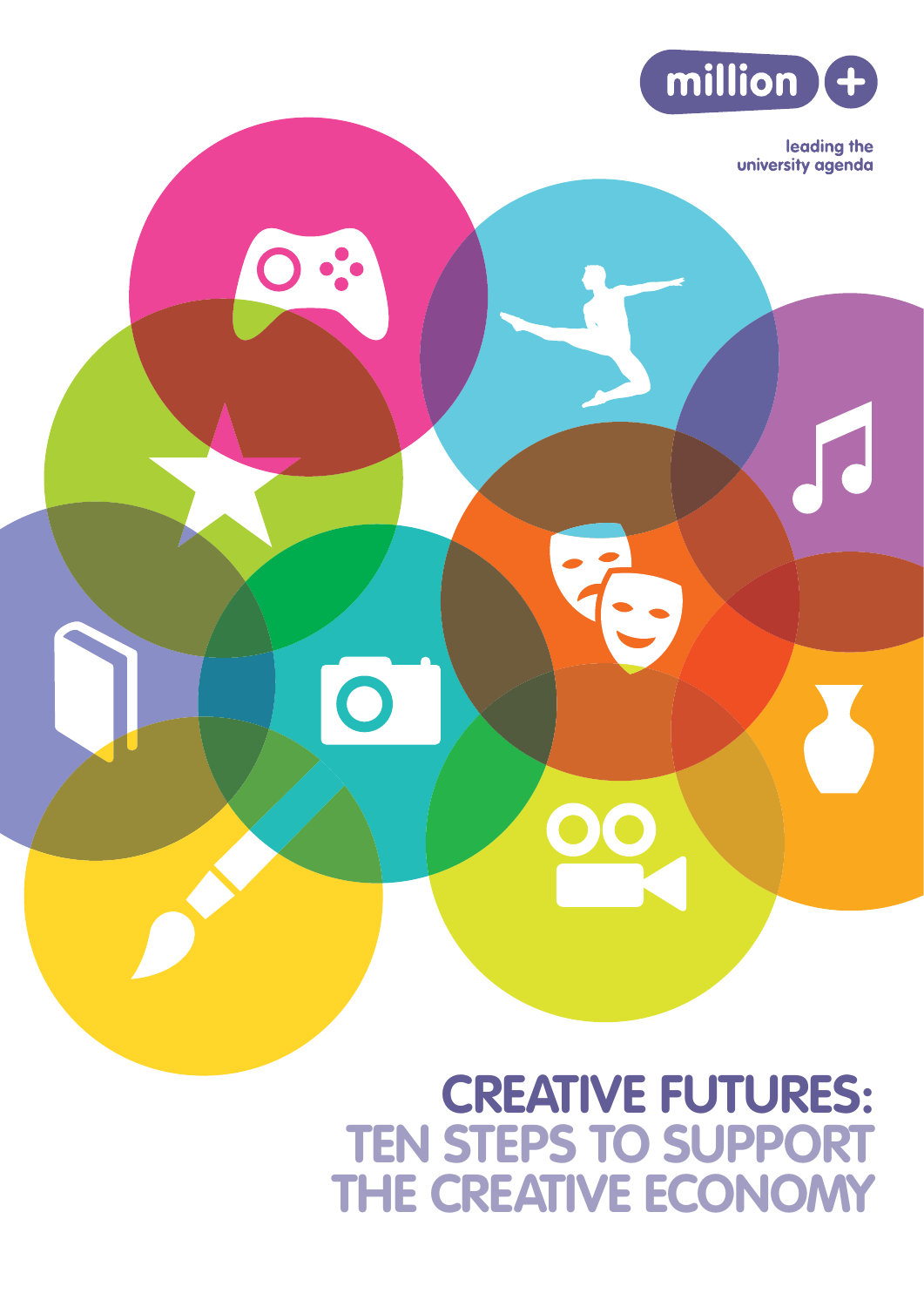

leading the university agenda

# **CREATIVE FUTURES: TEN STEPS TO SUPPORT THE CREATIVE ECONOMY**

 $\bigcirc$ 

 $\bigcirc$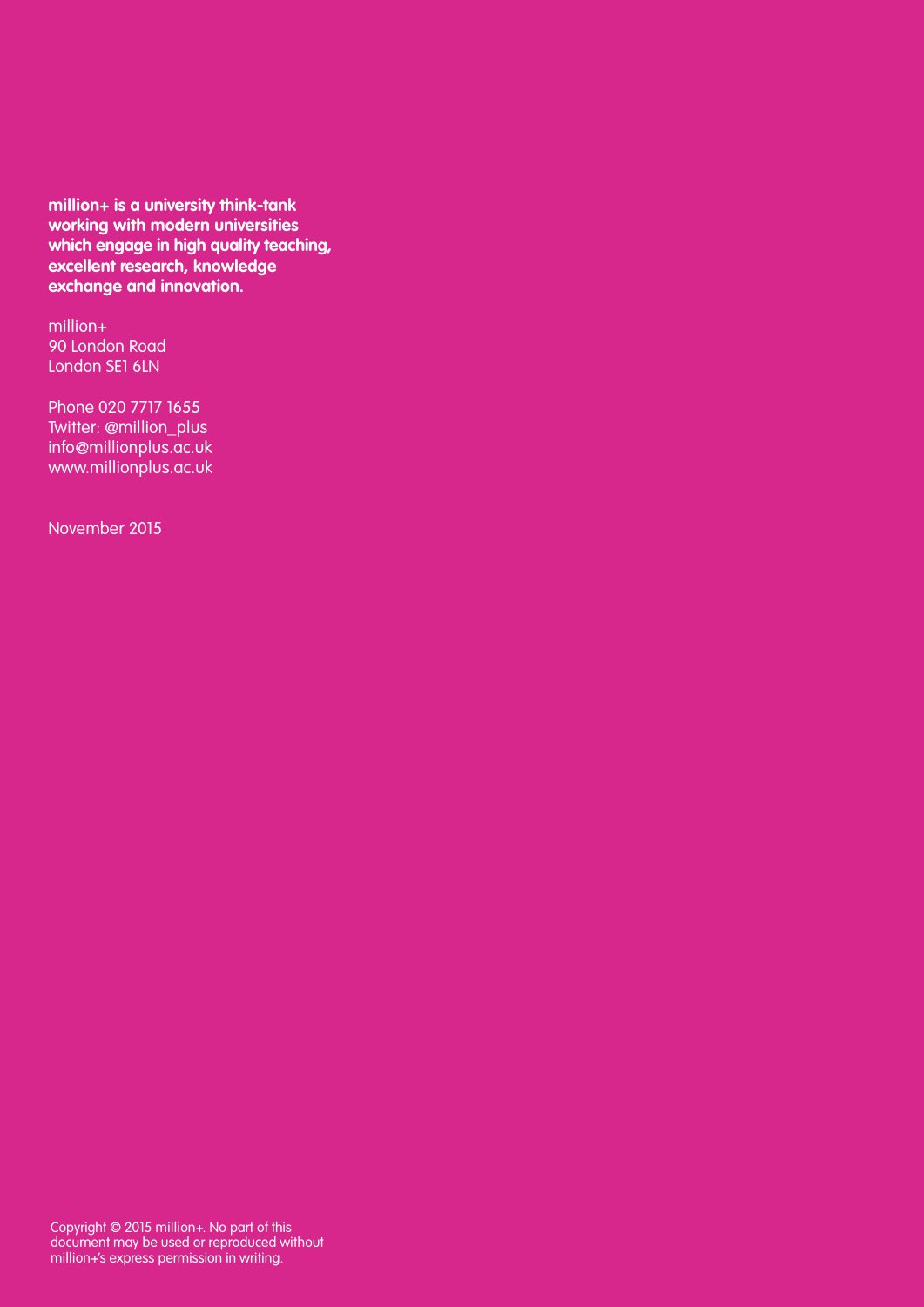**million+ is a university think-tank working with modern universities which engage in high quality teaching, excellent research, knowledge exchange and innovation.** 

million+ 90 London Road London SE1 6LN

Phone 020 7717 1655 Twitter: @million\_plus info@millionplus.ac.uk www.millionplus.ac.uk

November 2015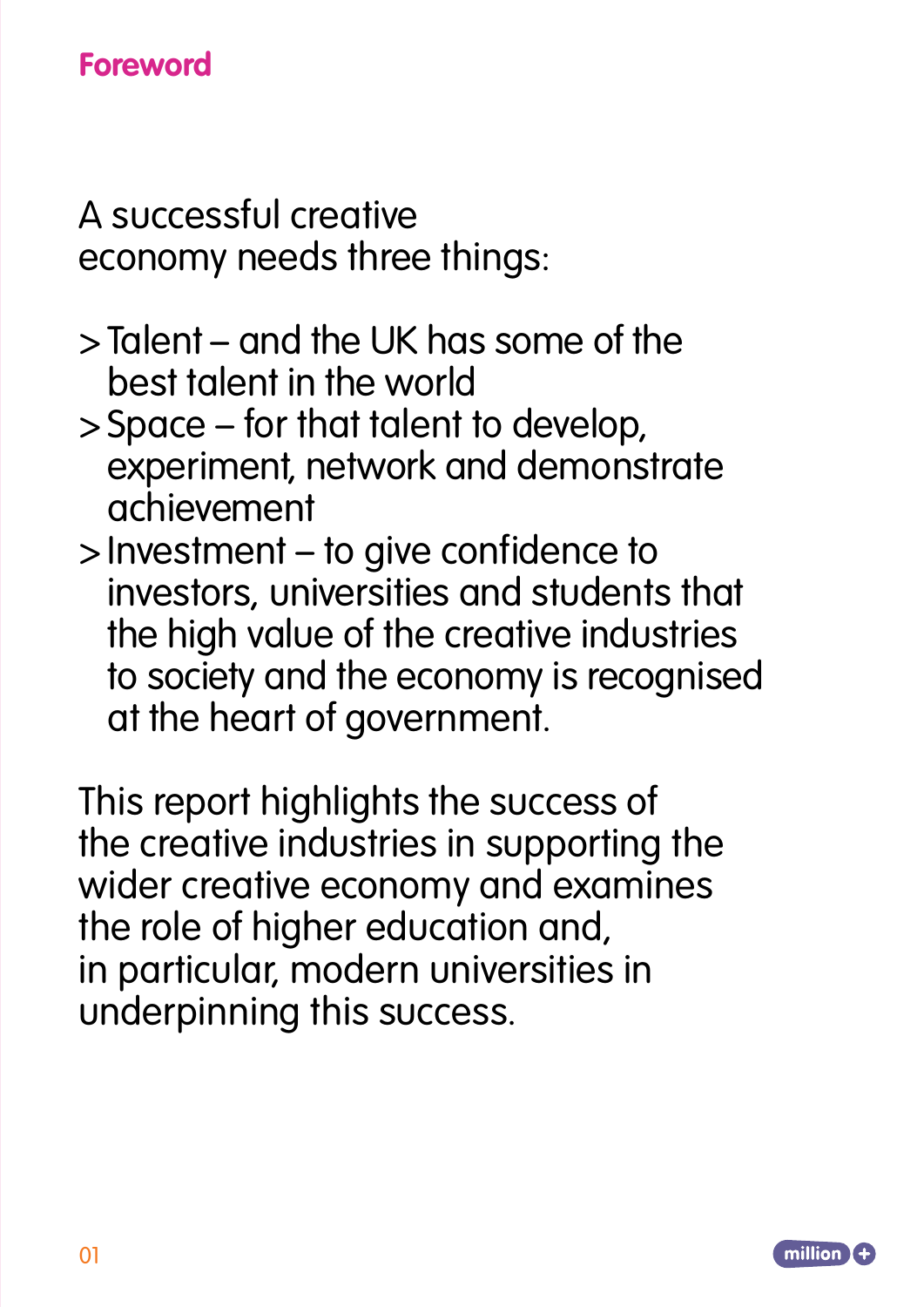# **Foreword**

A successful creative economy needs three things:

- >Talent and the UK has some of the best talent in the world
- >Space for that talent to develop, experiment, network and demonstrate achievement
- >Investment to give confidence to investors, universities and students that the high value of the creative industries to society and the economy is recognised at the heart of government.

This report highlights the success of the creative industries in supporting the wider creative economy and examines the role of higher education and, in particular, modern universities in underpinning this success.

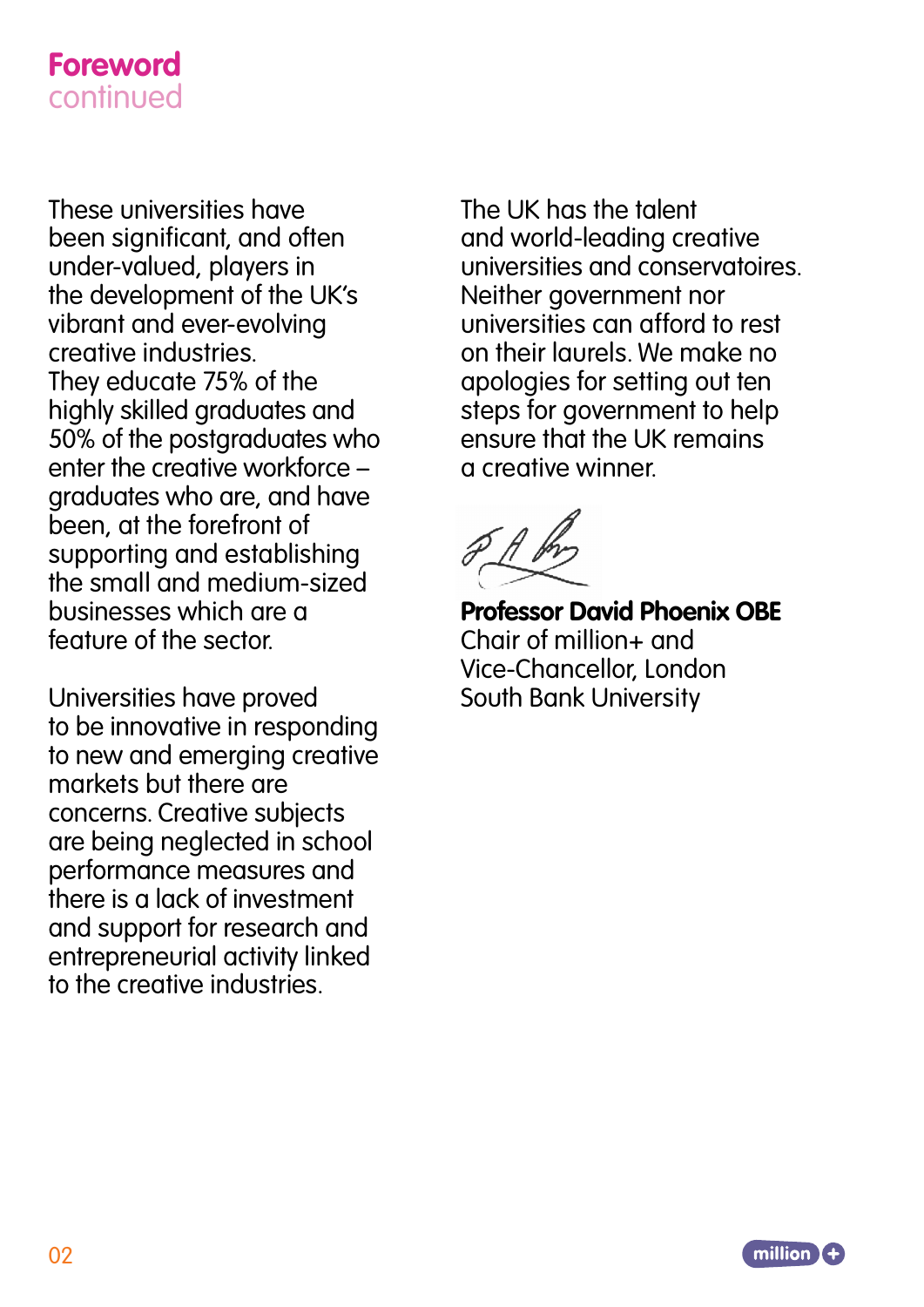### **Foreword** continued

These universities have been significant, and often under-valued, players in the development of the UK's vibrant and ever-evolving creative industries. They educate 75% of the highly skilled graduates and 50% of the postgraduates who enter the creative workforce – graduates who are, and have been, at the forefront of supporting and establishing the small and medium-sized businesses which are a feature of the sector.

Universities have proved to be innovative in responding to new and emerging creative markets but there are concerns. Creative subjects are being neglected in school performance measures and there is a lack of investment and support for research and entrepreneurial activity linked to the creative industries.

The UK has the talent and world-leading creative universities and conservatoires. Neither government nor universities can afford to rest on their laurels. We make no apologies for setting out ten steps for government to help ensure that the UK remains a creative winner.



**Professor David Phoenix OBE** Chair of million+ and Vice-Chancellor, London South Bank University

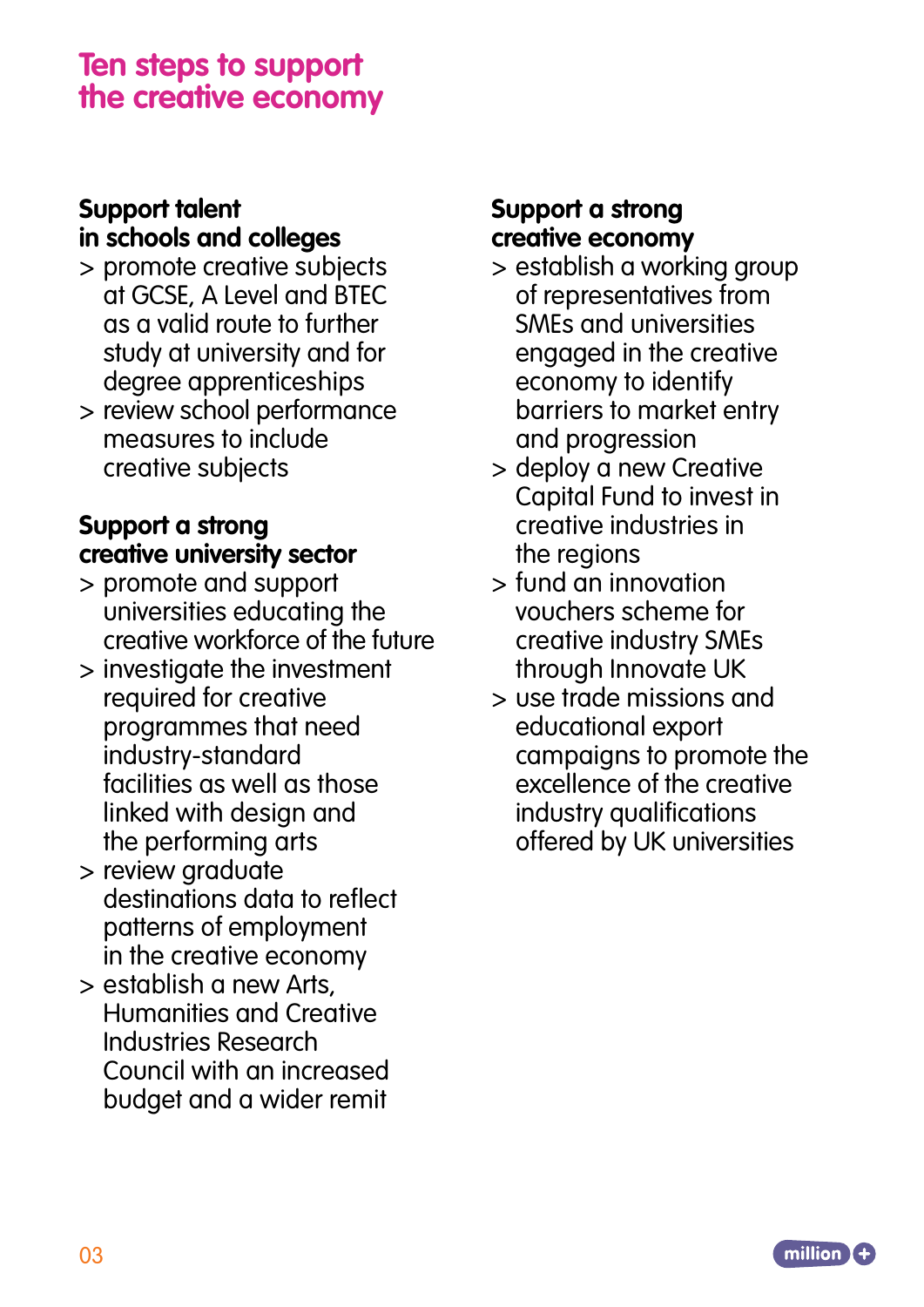## **Ten steps to support the creative economy**

### **Support talent in schools and colleges**

- > promote creative subjects at GCSE, A Level and BTEC as a valid route to further study at university and for degree apprenticeships
- > review school performance measures to include creative subjects

### **Support a strong creative university sector**

- > promote and support universities educating the creative workforce of the future
- > investigate the investment required for creative programmes that need industry-standard facilities as well as those linked with design and the performing arts
- > review graduate destinations data to reflect patterns of employment in the creative economy
- > establish a new Arts, Humanities and Creative Industries Research Council with an increased budget and a wider remit

### **Support a strong creative economy**

- > establish a working group of representatives from SMEs and universities engaged in the creative economy to identify barriers to market entry and progression
- > deploy a new Creative Capital Fund to invest in creative industries in the regions
- > fund an innovation vouchers scheme for creative industry SMEs through Innovate UK
- > use trade missions and educational export campaigns to promote the excellence of the creative industry qualifications offered by UK universities

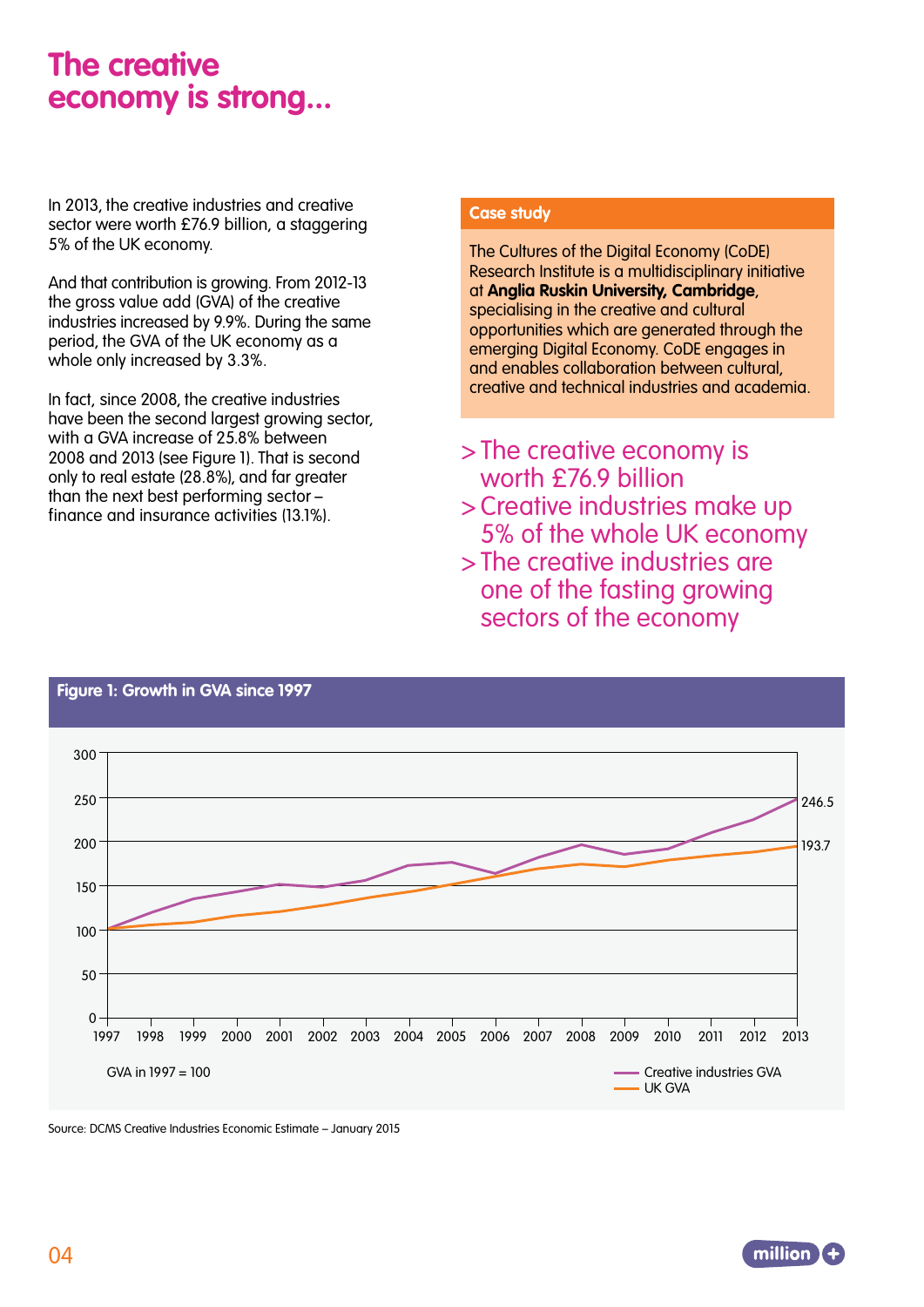## **The creative economy is strong...**

In 2013, the creative industries and creative sector were worth £76.9 billion, a staggering 5% of the UK economy.

And that contribution is growing. From 2012-13 the gross value add (GVA) of the creative industries increased by 9.9%. During the same period, the GVA of the UK economy as a whole only increased by 3.3%.

In fact, since 2008, the creative industries have been the second largest growing sector, with a GVA increase of 25.8% between 2008 and 2013 (see Figure 1). That is second only to real estate (28.8%), and far greater than the next best performing sector – finance and insurance activities (13.1%).

#### **Case study**

The Cultures of the Digital Economy (CoDE) Research Institute is a multidisciplinary initiative at **Anglia Ruskin University, Cambridge**, specialising in the creative and cultural opportunities which are generated through the emerging Digital Economy. CoDE engages in and enables collaboration between cultural, creative and technical industries and academia.

- >The creative economy is worth £76.9 billion
- >Creative industries make up 5% of the whole UK economy
- >The creative industries are one of the fasting growing sectors of the economy



#### **Figure 1: Growth in GVA since 1997**

Source: DCMS Creative Industries Economic Estimate – January 2015

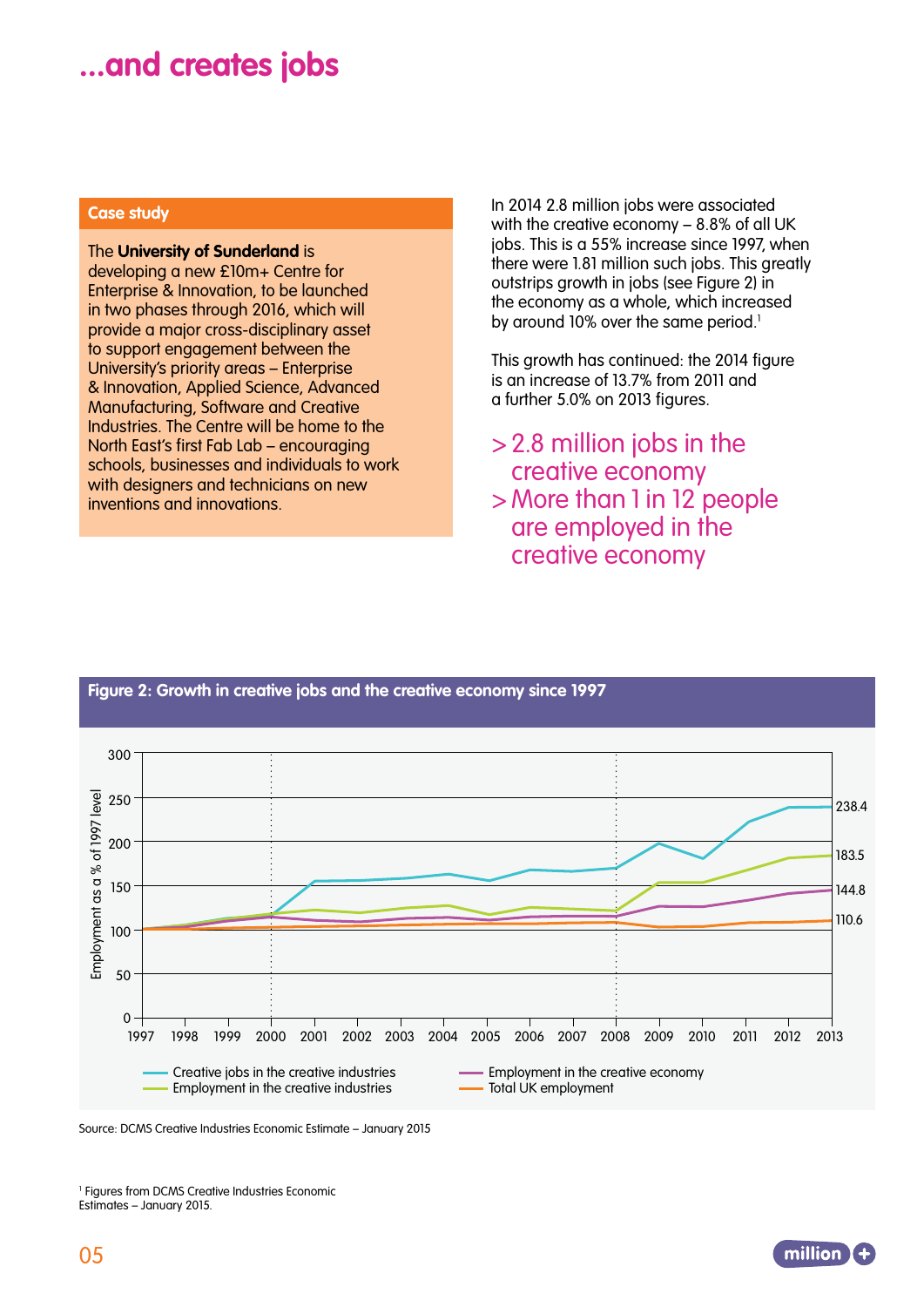## **...and creates jobs**

#### **Case study**

#### The **University of Sunderland** is

developing a new £10m+ Centre for Enterprise & Innovation, to be launched in two phases through 2016, which will provide a major cross-disciplinary asset to support engagement between the University's priority areas – Enterprise & Innovation, Applied Science, Advanced Manufacturing, Software and Creative Industries. The Centre will be home to the North East's first Fab Lab – encouraging schools, businesses and individuals to work with designers and technicians on new inventions and innovations.

In 2014 2.8 million jobs were associated with the creative economy – 8.8% of all UK jobs. This is a 55% increase since 1997, when there were 1.81 million such jobs. This greatly outstrips growth in jobs (see Figure 2) in the economy as a whole, which increased by around 10% over the same period.<sup>1</sup>

This growth has continued: the 2014 figure is an increase of 13.7% from 2011 and a further 5.0% on 2013 figures.

- >2.8 million jobs in the creative economy
- > More than 1 in 12 people are employed in the creative economy

#### **Figure 2: Growth in creative jobs and the creative economy since 1997**



Source: DCMS Creative Industries Economic Estimate – January 2015

<sup>1</sup> Figures from DCMS Creative Industries Economic Estimates – January 2015.

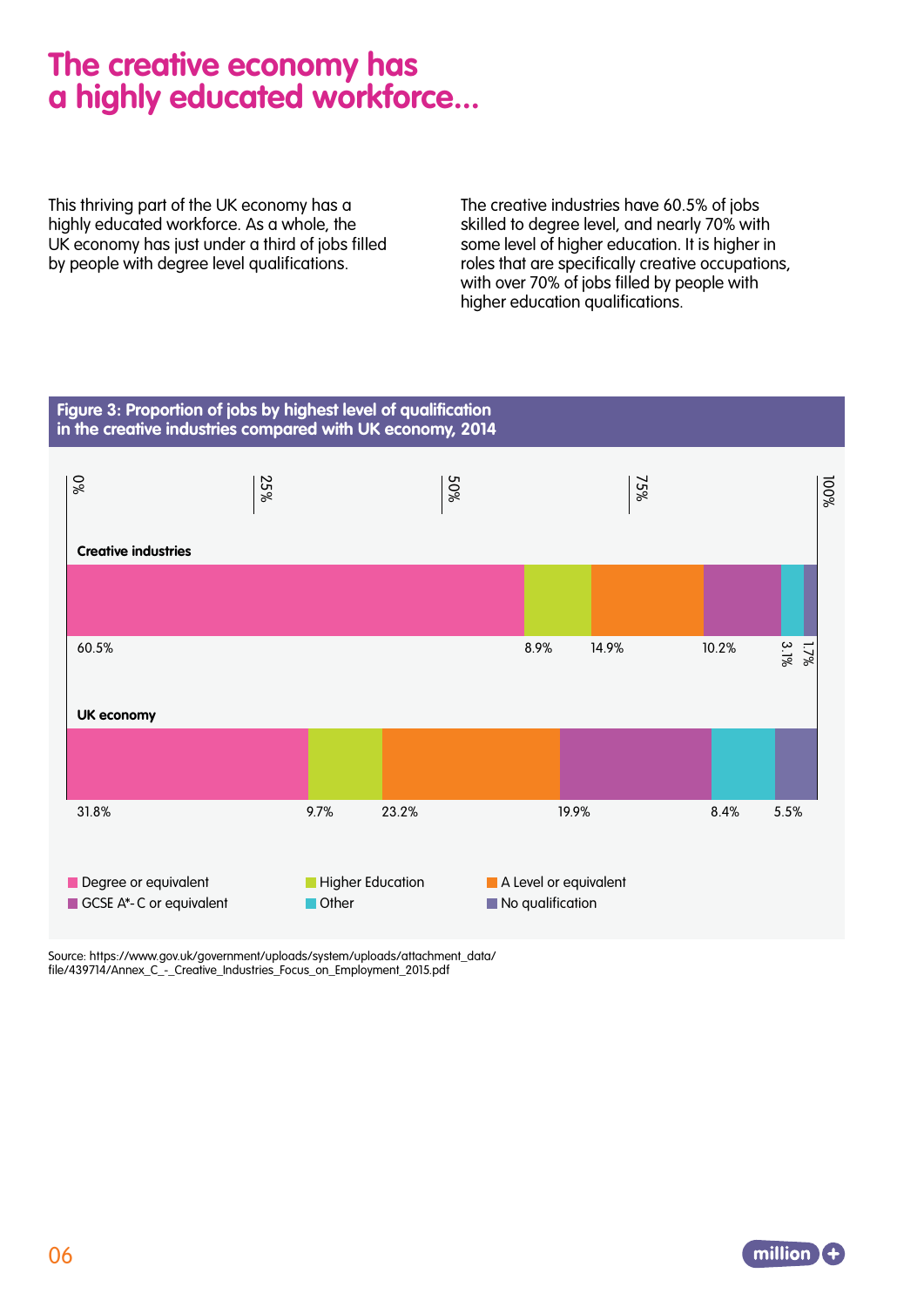# **The creative economy has a highly educated workforce...**

This thriving part of the UK economy has a highly educated workforce. As a whole, the UK economy has just under a third of jobs filled by people with degree level qualifications.

The creative industries have 60.5% of jobs skilled to degree level, and nearly 70% with some level of higher education. It is higher in roles that are specifically creative occupations, with over 70% of jobs filled by people with higher education qualifications.



Source: https://www.gov.uk/government/uploads/system/uploads/attachment\_data/ file/439714/Annex\_C\_-\_Creative\_Industries\_Focus\_on\_Employment\_2015.pdf

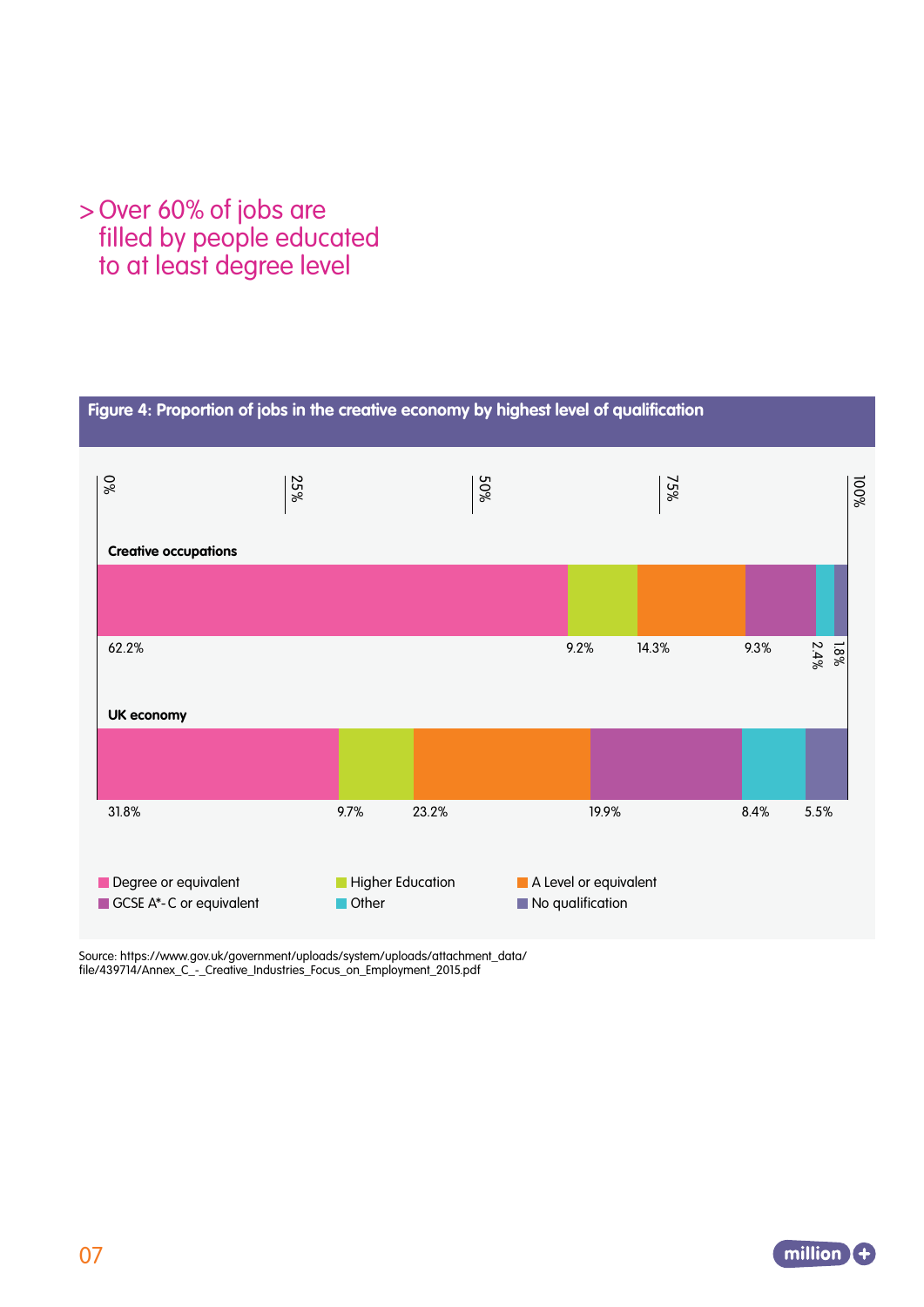### >Over 60% of jobs are filled by people educated to at least degree level



Source: https://www.gov.uk/government/uploads/system/uploads/attachment\_data/ file/439714/Annex\_C\_-\_Creative\_Industries\_Focus\_on\_Employment\_2015.pdf

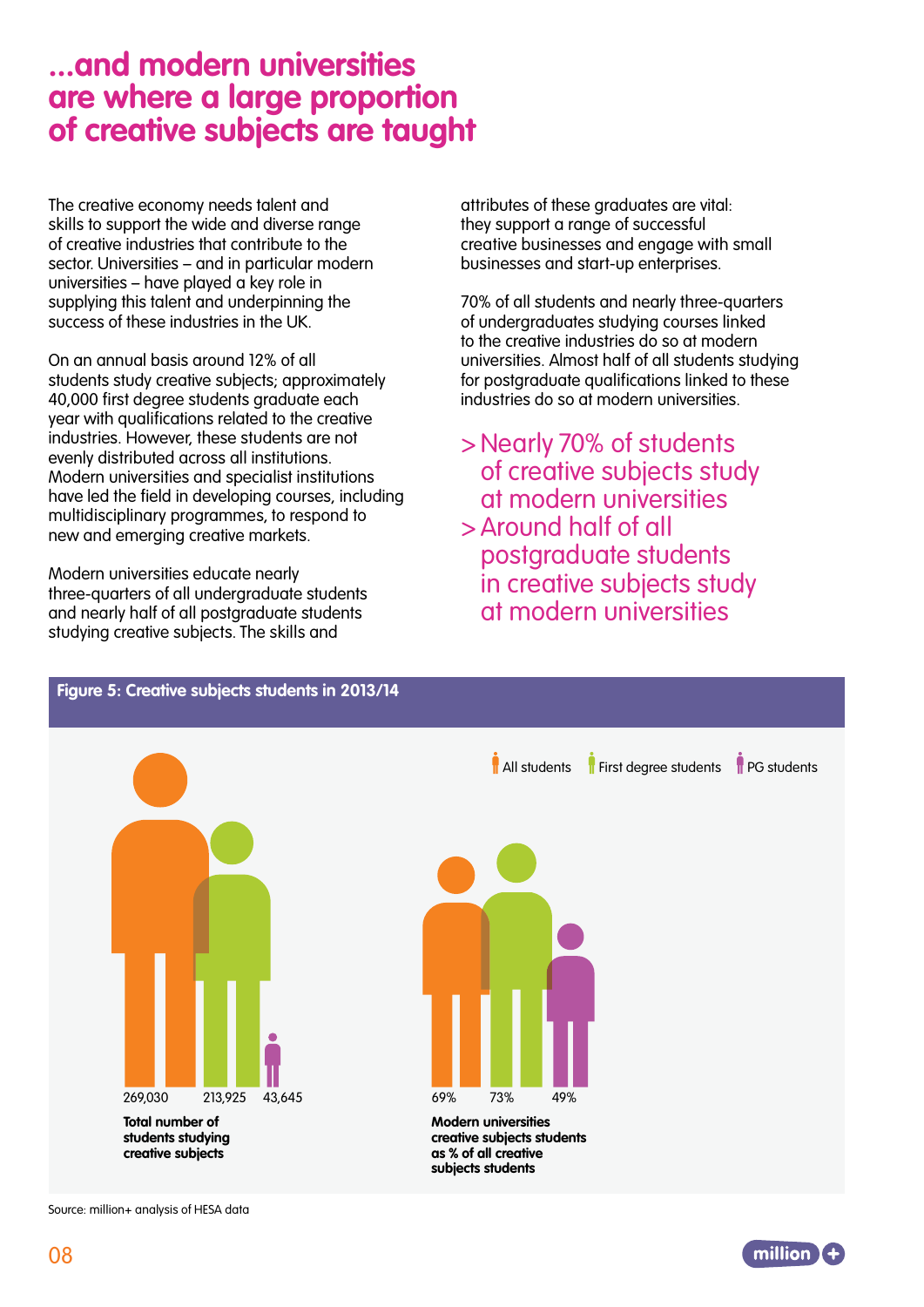### **...and modern universities are where a large proportion of creative subjects are taught**

The creative economy needs talent and skills to support the wide and diverse range of creative industries that contribute to the sector. Universities – and in particular modern universities – have played a key role in supplying this talent and underpinning the success of these industries in the UK.

On an annual basis around 12% of all students study creative subjects; approximately 40,000 first degree students graduate each year with qualifications related to the creative industries. However, these students are not evenly distributed across all institutions. Modern universities and specialist institutions have led the field in developing courses, including multidisciplinary programmes, to respond to new and emerging creative markets.

Modern universities educate nearly three-quarters of all undergraduate students and nearly half of all postgraduate students studying creative subjects. The skills and

attributes of these graduates are vital: they support a range of successful creative businesses and engage with small businesses and start-up enterprises.

70% of all students and nearly three-quarters of undergraduates studying courses linked to the creative industries do so at modern universities. Almost half of all students studying for postgraduate qualifications linked to these industries do so at modern universities.

>Nearly 70% of students of creative subjects study at modern universities >Around half of all postgraduate students in creative subjects study at modern universities



Source: million+ analysis of HESA data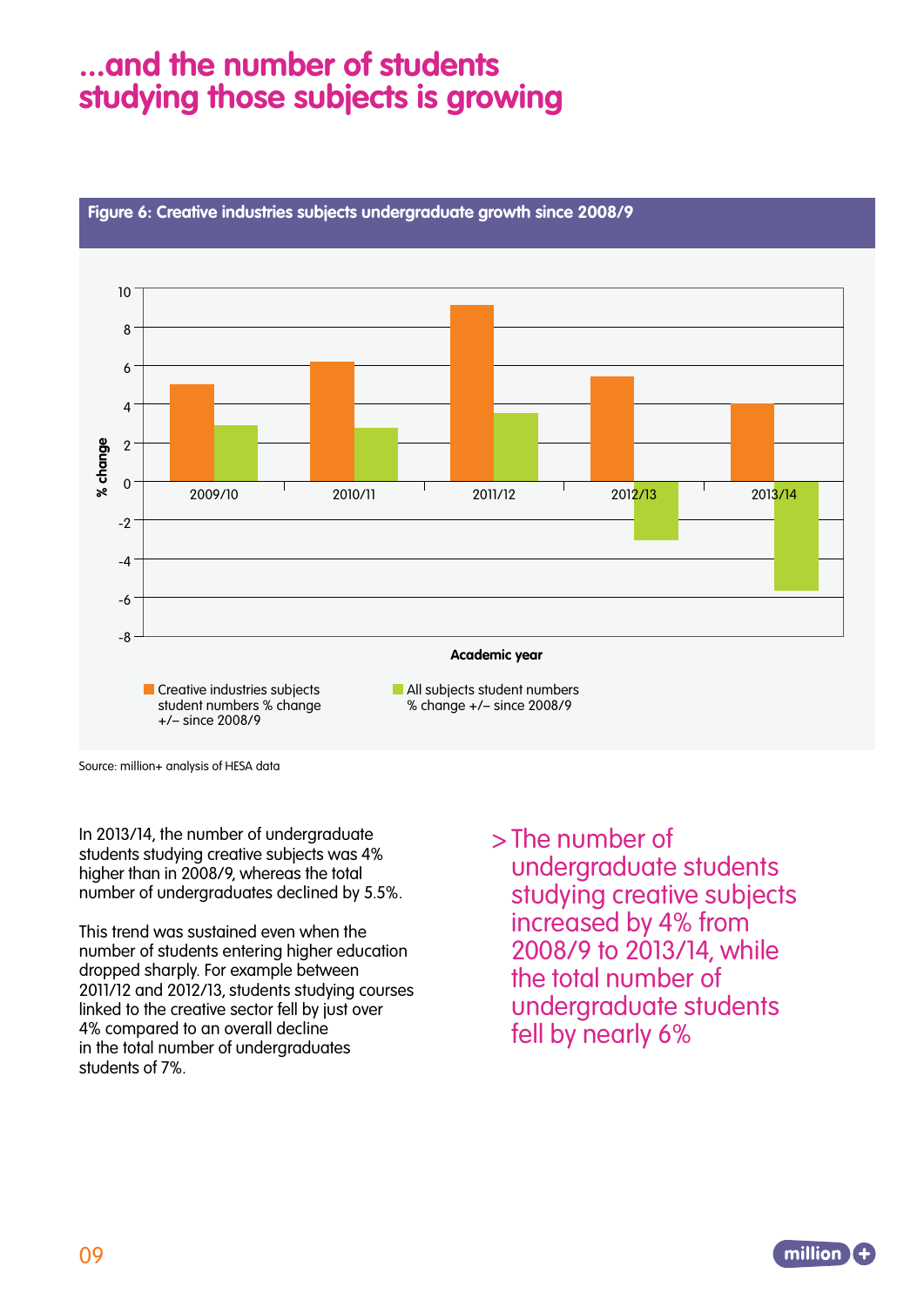## **...and the number of students studying those subjects is growing**



#### **Figure 6: Creative industries subjects undergraduate growth since 2008/9**

Source: million+ analysis of HESA data

In 2013/14, the number of undergraduate students studying creative subjects was 4% higher than in 2008/9, whereas the total number of undergraduates declined by 5.5%.

This trend was sustained even when the number of students entering higher education dropped sharply. For example between 2011/12 and 2012/13, students studying courses linked to the creative sector fell by just over 4% compared to an overall decline in the total number of undergraduates students of 7%.

>The number of

undergraduate students studying creative subjects increased by 4% from 2008/9 to 2013/14, while the total number of undergraduate students fell by nearly 6%

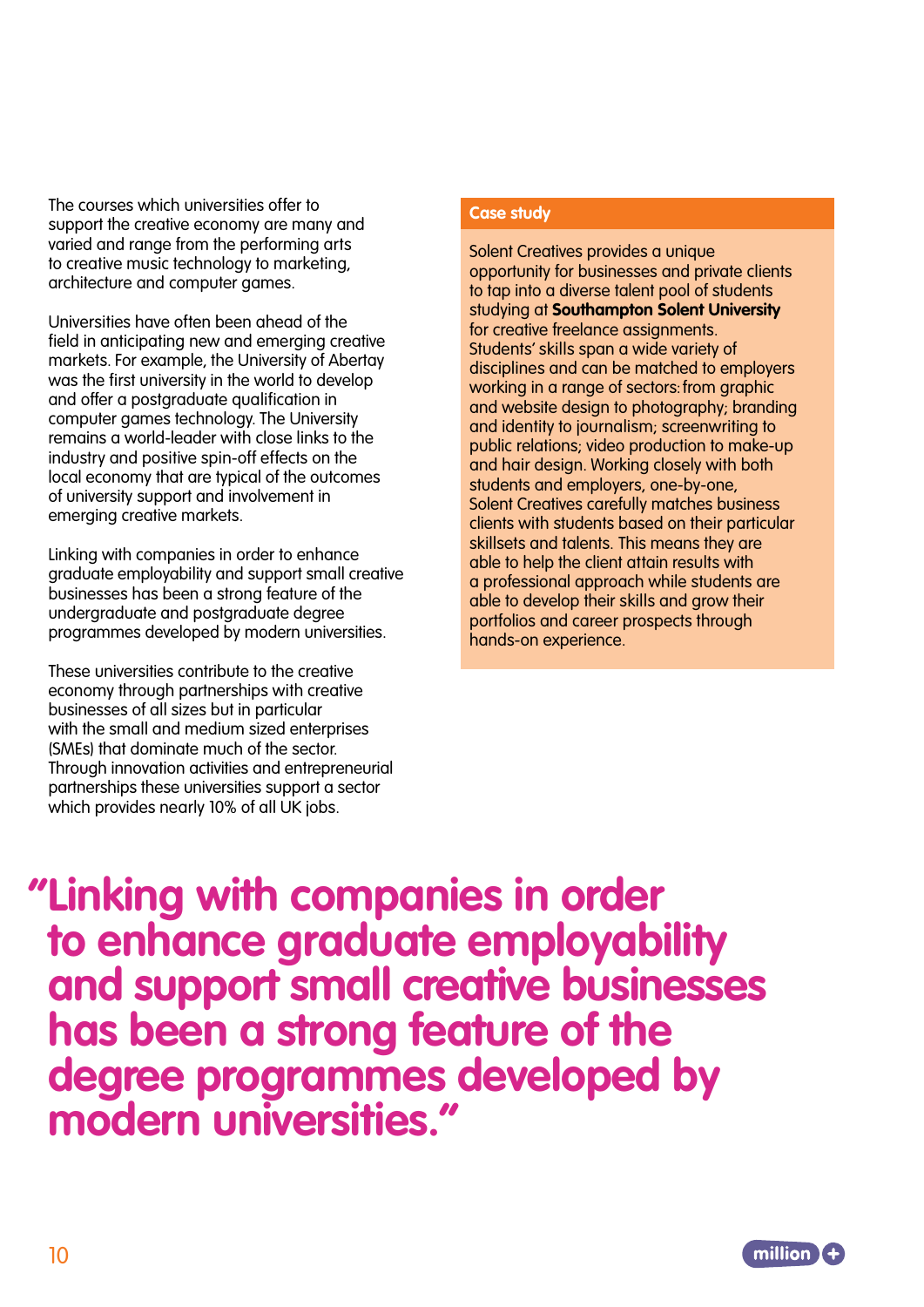The courses which universities offer to support the creative economy are many and varied and range from the performing arts to creative music technology to marketing, architecture and computer games.

Universities have often been ahead of the field in anticipating new and emerging creative markets. For example, the University of Abertay was the first university in the world to develop and offer a postgraduate qualification in computer games technology. The University remains a world-leader with close links to the industry and positive spin-off effects on the local economy that are typical of the outcomes of university support and involvement in emerging creative markets.

Linking with companies in order to enhance graduate employability and support small creative businesses has been a strong feature of the undergraduate and postgraduate degree programmes developed by modern universities.

These universities contribute to the creative economy through partnerships with creative businesses of all sizes but in particular with the small and medium sized enterprises (SMEs) that dominate much of the sector. Through innovation activities and entrepreneurial partnerships these universities support a sector which provides nearly 10% of all UK jobs.

#### **Case study**

Solent Creatives provides a unique opportunity for businesses and private clients to tap into a diverse talent pool of students studying at **Southampton Solent University** for creative freelance assignments. Students' skills span a wide variety of disciplines and can be matched to employers working in a range of sectors: from graphic and website design to photography; branding and identity to journalism; screenwriting to public relations; video production to make-up and hair design. Working closely with both students and employers, one-by-one, Solent Creatives carefully matches business clients with students based on their particular skillsets and talents. This means they are able to help the client attain results with a professional approach while students are able to develop their skills and grow their portfolios and career prospects through hands-on experience.

 **"Linking with companies in order to enhance graduate employability and support small creative businesses has been a strong feature of the degree programmes developed by modern universities."**

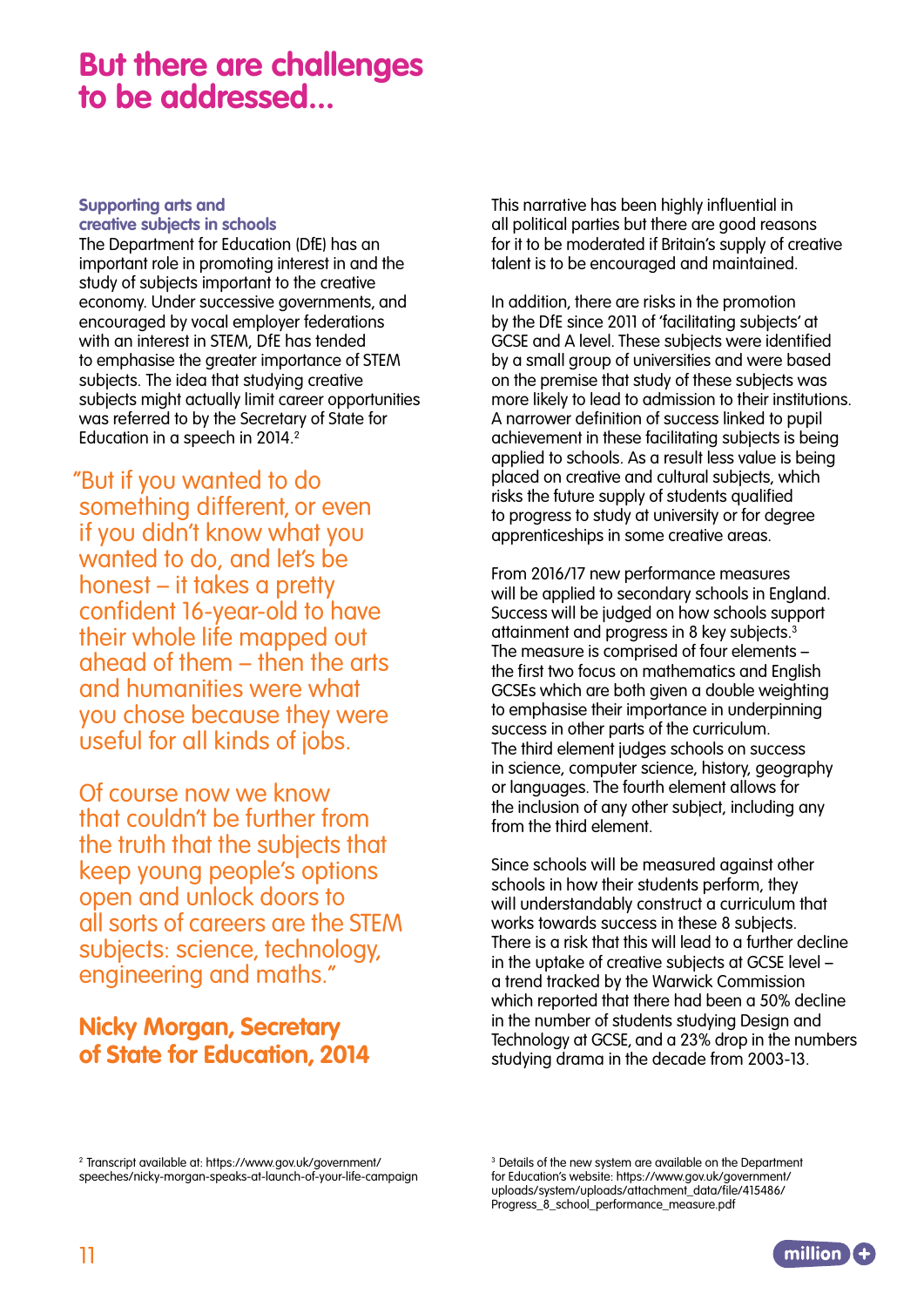### **But there are challenges to be addressed...**

#### **Supporting arts and creative subjects in schools**

The Department for Education (DfE) has an important role in promoting interest in and the study of subjects important to the creative economy. Under successive governments, and encouraged by vocal employer federations with an interest in STEM, DfE has tended to emphasise the greater importance of STEM subjects. The idea that studying creative subjects might actually limit career opportunities was referred to by the Secretary of State for Education in a speech in 2014.<sup>2</sup>

 "But if you wanted to do something different, or even if you didn't know what you wanted to do, and let's be honest – it takes a pretty confident 16-year-old to have their whole life mapped out ahead of them – then the arts and humanities were what you chose because they were useful for all kinds of jobs.

Of course now we know that couldn't be further from the truth that the subjects that keep young people's options open and unlock doors to all sorts of careers are the STEM subjects: science, technology, engineering and maths."

#### **Nicky Morgan, Secretary of State for Education, 2014**

This narrative has been highly influential in all political parties but there are good reasons for it to be moderated if Britain's supply of creative talent is to be encouraged and maintained.

In addition, there are risks in the promotion by the DfE since 2011 of 'facilitating subjects' at GCSE and A level. These subjects were identified by a small group of universities and were based on the premise that study of these subjects was more likely to lead to admission to their institutions. A narrower definition of success linked to pupil achievement in these facilitating subjects is being applied to schools. As a result less value is being placed on creative and cultural subjects, which risks the future supply of students qualified to progress to study at university or for degree apprenticeships in some creative areas.

From 2016/17 new performance measures will be applied to secondary schools in England. Success will be judged on how schools support attainment and progress in 8 key subjects.3 The measure is comprised of four elements – the first two focus on mathematics and English GCSEs which are both given a double weighting to emphasise their importance in underpinning success in other parts of the curriculum. The third element judges schools on success in science, computer science, history, geography or languages. The fourth element allows for the inclusion of any other subject, including any from the third element.

Since schools will be measured against other schools in how their students perform, they will understandably construct a curriculum that works towards success in these 8 subjects. There is a risk that this will lead to a further decline in the uptake of creative subjects at GCSE level – a trend tracked by the Warwick Commission which reported that there had been a 50% decline in the number of students studying Design and Technology at GCSE, and a 23% drop in the numbers studying drama in the decade from 2003-13.

2 Transcript available at: https://www.gov.uk/government/ speeches/nicky-morgan-speaks-at-launch-of-your-life-campaign

<sup>&</sup>lt;sup>3</sup> Details of the new system are available on the Department for Education's website: https://www.gov.uk/government/ uploads/system/uploads/attachment\_data/file/415486/ Progress\_8\_school\_performance\_measure.pdf

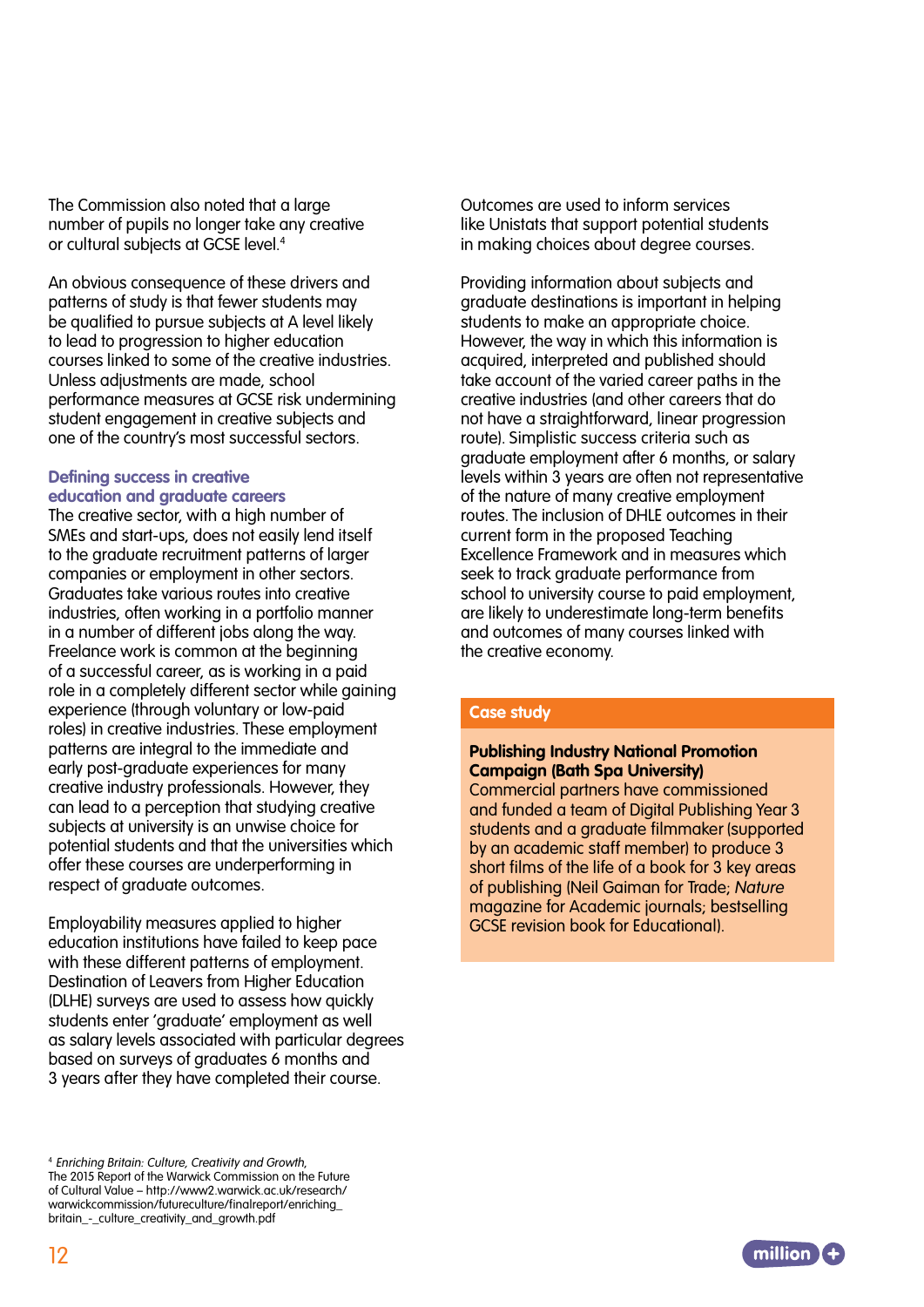The Commission also noted that a large number of pupils no longer take any creative or cultural subjects at GCSE level.4

An obvious consequence of these drivers and patterns of study is that fewer students may be qualified to pursue subjects at A level likely to lead to progression to higher education courses linked to some of the creative industries. Unless adjustments are made, school performance measures at GCSE risk undermining student engagement in creative subjects and one of the country's most successful sectors.

#### **Defining success in creative education and graduate careers**

The creative sector, with a high number of SMEs and start-ups, does not easily lend itself to the graduate recruitment patterns of larger companies or employment in other sectors. Graduates take various routes into creative industries, often working in a portfolio manner in a number of different jobs along the way. Freelance work is common at the beginning of a successful career, as is working in a paid role in a completely different sector while gaining experience (through voluntary or low-paid roles) in creative industries. These employment patterns are integral to the immediate and early post-graduate experiences for many creative industry professionals. However, they can lead to a perception that studying creative subjects at university is an unwise choice for potential students and that the universities which offer these courses are underperforming in respect of graduate outcomes.

Employability measures applied to higher education institutions have failed to keep pace with these different patterns of employment. Destination of Leavers from Higher Education (DLHE) surveys are used to assess how quickly students enter 'graduate' employment as well as salary levels associated with particular degrees based on surveys of graduates 6 months and 3 years after they have completed their course.

<sup>4</sup>Enriching Britain: Culture, Creativity and Growth, The 2015 Report of the Warwick Commission on the Future of Cultural Value – http://www2.warwick.ac.uk/research/ warwickcommission/futureculture/finalreport/enriching\_ britain\_-\_culture\_creativity\_and\_growth.pdf

Outcomes are used to inform services like Unistats that support potential students in making choices about degree courses.

Providing information about subjects and graduate destinations is important in helping students to make an appropriate choice. However, the way in which this information is acquired, interpreted and published should take account of the varied career paths in the creative industries (and other careers that do not have a straightforward, linear progression route). Simplistic success criteria such as graduate employment after 6 months, or salary levels within 3 years are often not representative of the nature of many creative employment routes. The inclusion of DHLE outcomes in their current form in the proposed Teaching Excellence Framework and in measures which seek to track araduate performance from school to university course to paid employment, are likely to underestimate long-term benefits and outcomes of many courses linked with the creative economy.

#### **Case study**

#### **Publishing Industry National Promotion Campaign (Bath Spa University)**  Commercial partners have commissioned and funded a team of Digital Publishing Year 3 students and a graduate filmmaker (supported by an academic staff member) to produce 3 short films of the life of a book for 3 key areas of publishing (Neil Gaiman for Trade; Nature magazine for Academic journals; bestselling

GCSE revision book for Educational).

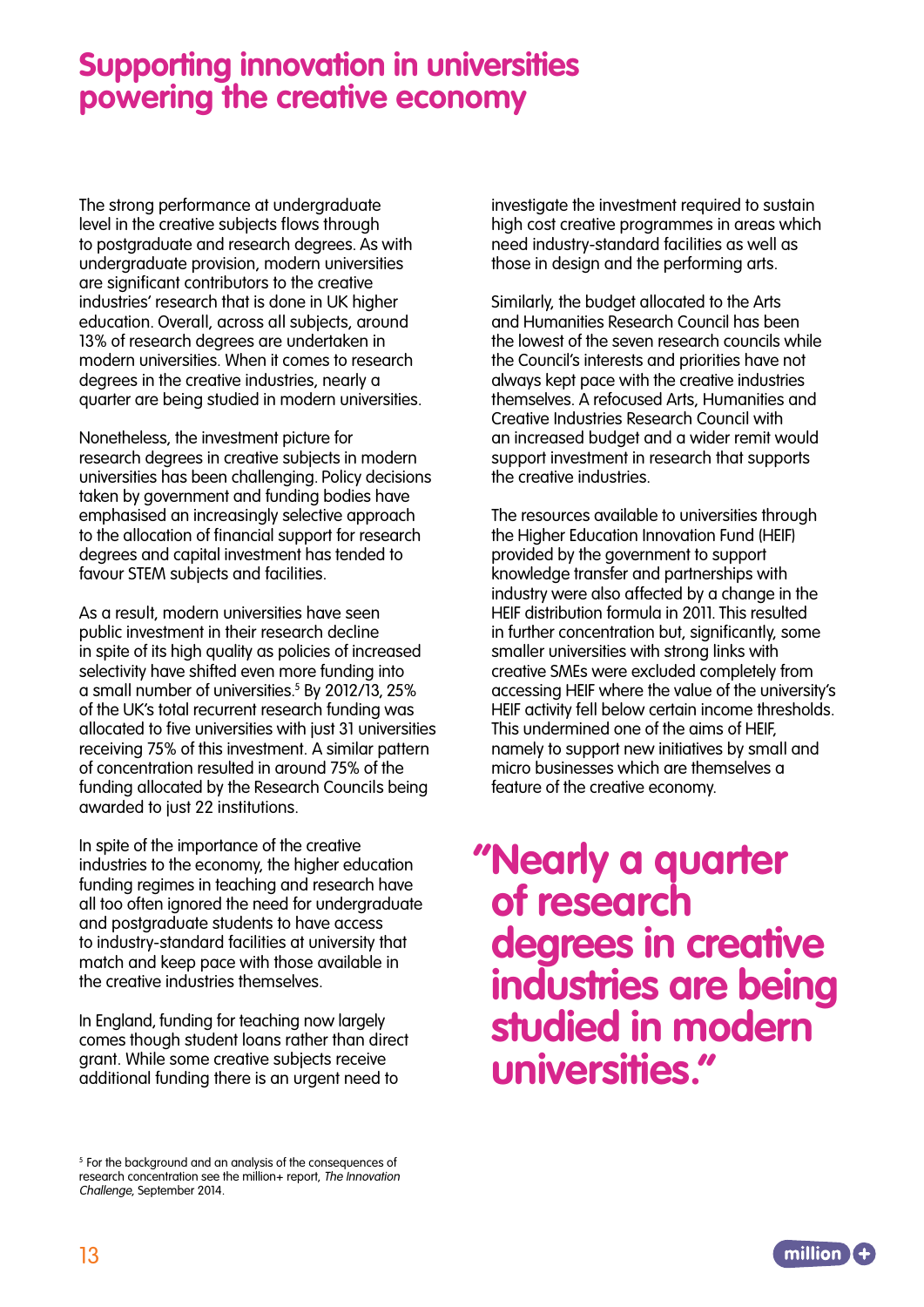### **Supporting innovation in universities powering the creative economy**

The strong performance at undergraduate level in the creative subjects flows through to postgraduate and research degrees. As with undergraduate provision, modern universities are significant contributors to the creative industries' research that is done in UK higher education. Overall, across all subjects, around 13% of research degrees are undertaken in modern universities. When it comes to research degrees in the creative industries, nearly a quarter are being studied in modern universities.

Nonetheless, the investment picture for research degrees in creative subjects in modern universities has been challenging. Policy decisions taken by government and funding bodies have emphasised an increasingly selective approach to the allocation of financial support for research degrees and capital investment has tended to favour STEM subjects and facilities.

As a result, modern universities have seen public investment in their research decline in spite of its high quality as policies of increased selectivity have shifted even more funding into a small number of universities.<sup>5</sup> By 2012/13, 25% of the UK's total recurrent research funding was allocated to five universities with just 31 universities receiving 75% of this investment. A similar pattern of concentration resulted in around 75% of the funding allocated by the Research Councils being awarded to just 22 institutions.

In spite of the importance of the creative industries to the economy, the higher education funding regimes in teaching and research have all too often ignored the need for undergraduate and postgraduate students to have access to industry-standard facilities at university that match and keep pace with those available in the creative industries themselves.

In England, funding for teaching now largely comes though student loans rather than direct grant. While some creative subjects receive additional funding there is an urgent need to

investigate the investment required to sustain high cost creative programmes in areas which need industry-standard facilities as well as those in design and the performing arts.

Similarly, the budget allocated to the Arts and Humanities Research Council has been the lowest of the seven research councils while the Council's interests and priorities have not always kept pace with the creative industries themselves. A refocused Arts, Humanities and Creative Industries Research Council with an increased budget and a wider remit would support investment in research that supports the creative industries.

The resources available to universities through the Higher Education Innovation Fund (HEIF) provided by the government to support knowledge transfer and partnerships with industry were also affected by a change in the HEIF distribution formula in 2011. This resulted in further concentration but, significantly, some smaller universities with strong links with creative SMEs were excluded completely from accessing HEIF where the value of the university's HEIF activity fell below certain income thresholds. This undermined one of the aims of HEIF, namely to support new initiatives by small and micro businesses which are themselves a feature of the creative economy.

# **"Nearly a quarter of research degrees in creative industries are being studied in modern universities."**



<sup>&</sup>lt;sup>5</sup> For the background and an analysis of the consequences of research concentration see the million+ report, The Innovation Challenge, September 2014.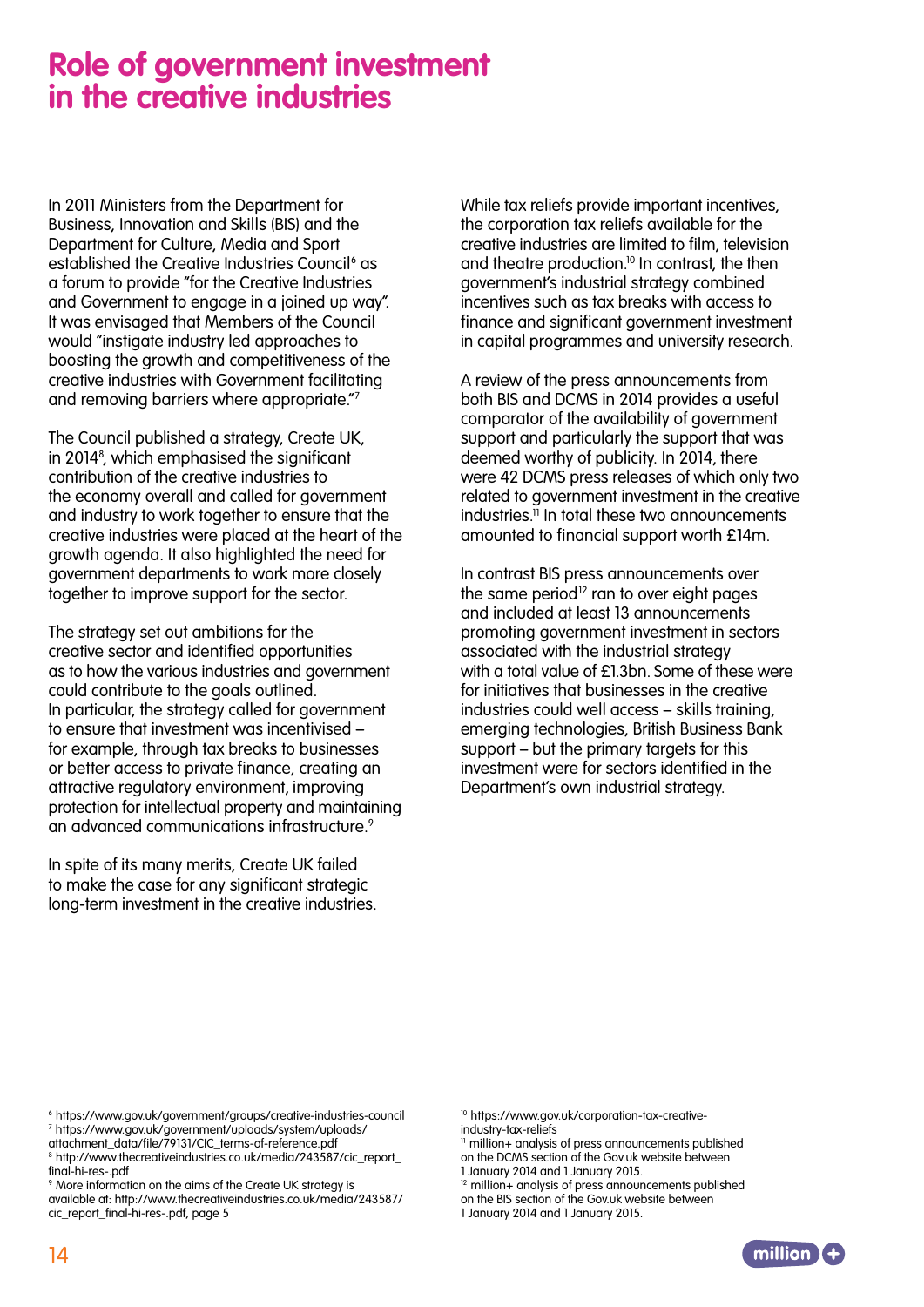### **Role of government investment in the creative industries**

In 2011 Ministers from the Department for Business, Innovation and Skills (BIS) and the Department for Culture, Media and Sport established the Creative Industries Council<sup>6</sup> as a forum to provide "for the Creative Industries and Government to engage in a joined up way". It was envisaged that Members of the Council would "instigate industry led approaches to boosting the growth and competitiveness of the creative industries with Government facilitating and removing barriers where appropriate."7

The Council published a strategy, Create UK, in 20148 , which emphasised the significant contribution of the creative industries to the economy overall and called for government and industry to work together to ensure that the creative industries were placed at the heart of the growth agenda. It also highlighted the need for government departments to work more closely together to improve support for the sector.

The strategy set out ambitions for the creative sector and identified opportunities as to how the various industries and government could contribute to the goals outlined. In particular, the strategy called for government to ensure that investment was incentivised – for example, through tax breaks to businesses or better access to private finance, creating an attractive regulatory environment, improving protection for intellectual property and maintaining an advanced communications infrastructure.9

In spite of its many merits, Create UK failed to make the case for any significant strategic long-term investment in the creative industries. While tax reliefs provide important incentives, the corporation tax reliefs available for the creative industries are limited to film, television and theatre production.10 In contrast, the then government's industrial strategy combined incentives such as tax breaks with access to finance and significant government investment in capital programmes and university research.

A review of the press announcements from both BIS and DCMS in 2014 provides a useful comparator of the availability of government support and particularly the support that was deemed worthy of publicity. In 2014, there were 42 DCMS press releases of which only two related to government investment in the creative industries. $\overline{1}$  In total these two announcements amounted to financial support worth £14m.

In contrast BIS press announcements over the same period<sup>12</sup> ran to over eight pages and included at least 13 announcements promoting government investment in sectors associated with the industrial strategy with a total value of £1.3bn. Some of these were for initiatives that businesses in the creative industries could well access – skills training, emerging technologies, British Business Bank support – but the primary targets for this investment were for sectors identified in the Department's own industrial strategy.

attachment\_data/file/79131/CIC\_terms-of-reference.pdf

9 More information on the aims of the Create UK strategy is available at: http://www.thecreativeindustries.co.uk/media/243587/ cic\_report\_final-hi-res-.pdf, page 5

10 https://www.gov.uk/corporation-tax-creativeindustry-tax-reliefs

<sup>11</sup> million+ analysis of press announcements published on the DCMS section of the Gov.uk website between

 $12$  million + analysis of press announcements published on the BIS section of the Gov.uk website between

<sup>1</sup> January 2014 and 1 January 2015.



<sup>6</sup> https://www.gov.uk/government/groups/creative-industries-council 7 https://www.gov.uk/government/uploads/system/uploads/

<sup>8</sup> http://www.thecreativeindustries.co.uk/media/243587/cic\_report\_ final-hi-res-.pdf

<sup>1</sup> January 2014 and 1 January 2015.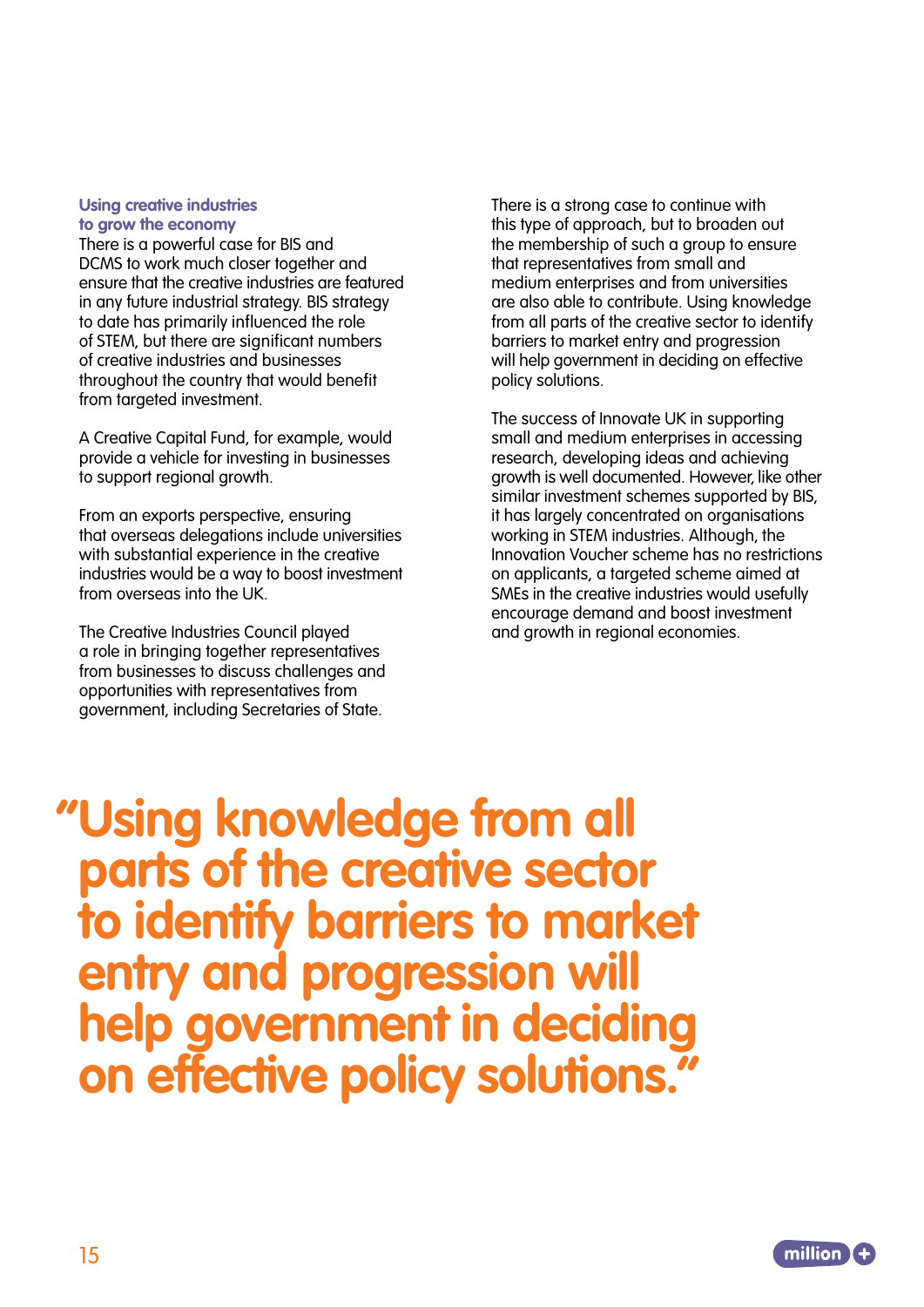#### **Using creative industries to grow the economy**

There is a powerful case for BIS and DCMS to work much closer together and ensure that the creative industries are featured in any future industrial strategy. BIS strategy to date has primarily influenced the role of STEM, but there are significant numbers of creative industries and businesses throughout the country that would benefit from targeted investment.

A Creative Capital Fund, for example, would provide a vehicle for investing in businesses to support regional growth.

From an exports perspective, ensuring that overseas delegations include universities with substantial experience in the creative industries would be a way to boost investment from overseas into the UK.

The Creative Industries Council played a role in bringing together representatives from businesses to discuss challenges and opportunities with representatives from government, including Secretaries of State.

There is a strong case to continue with this type of approach, but to broaden out the membership of such a group to ensure that representatives from small and medium enterprises and from universities are also able to contribute. Using knowledge from all parts of the creative sector to identify barriers to market entry and progression will help government in deciding on effective policy solutions.

The success of Innovate UK in supporting small and medium enterprises in accessing research, developing ideas and achieving growth is well documented. However, like other similar investment schemes supported by BIS, it has largely concentrated on organisations working in STEM industries. Although, the Innovation Voucher scheme has no restrictions on applicants, a targeted scheme aimed at SMEs in the creative industries would usefully encourage demand and boost investment and growth in regional economies.

 **"Using knowledge from all parts of the creative sector to identify barriers to market entry and progression will help government in deciding on effective policy solutions."**

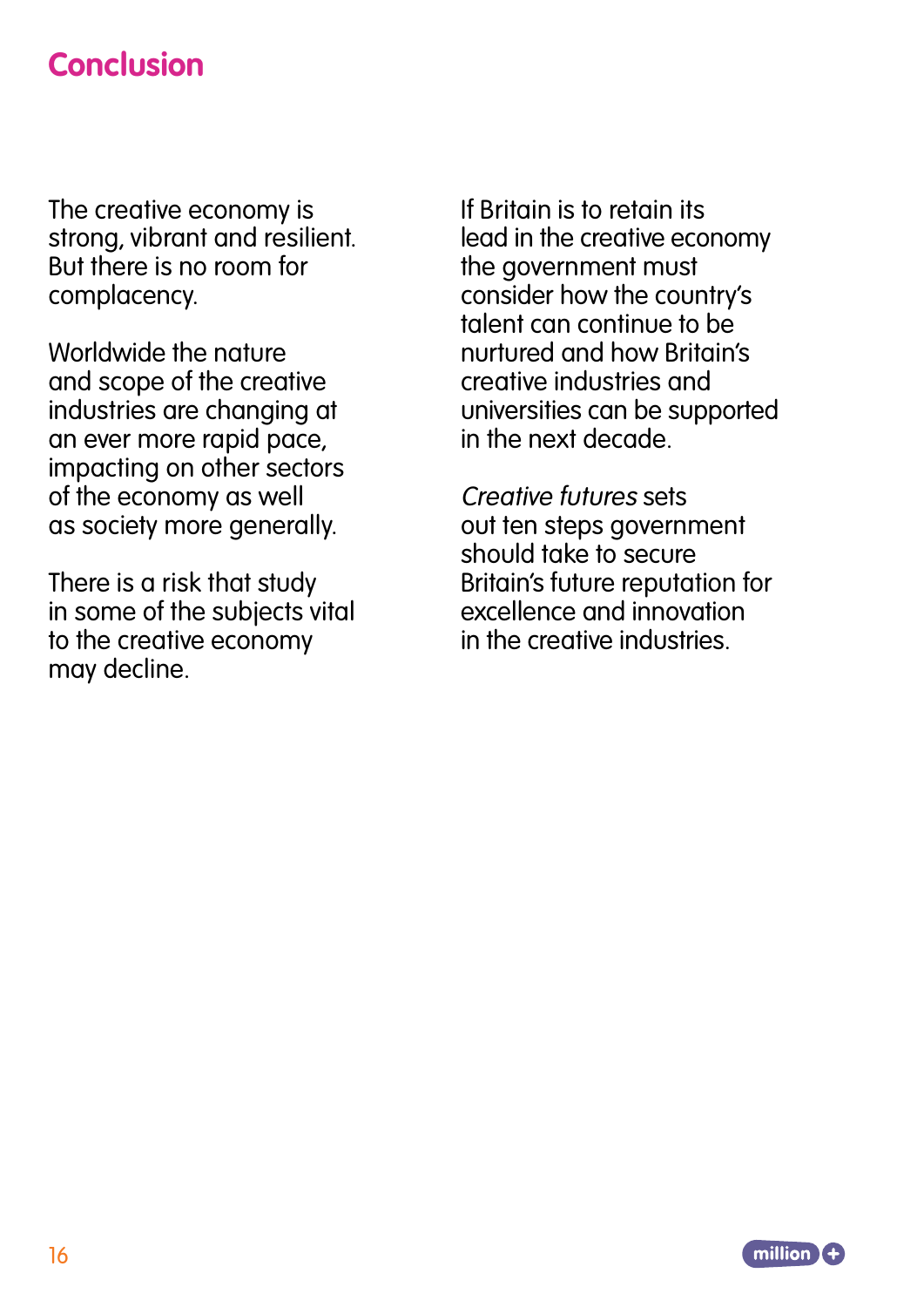# **Conclusion**

The creative economy is strong, vibrant and resilient. But there is no room for complacency.

Worldwide the nature and scope of the creative industries are changing at an ever more rapid pace, impacting on other sectors of the economy as well as society more generally.

There is a risk that study in some of the subjects vital to the creative economy may decline.

If Britain is to retain its lead in the creative economy the government must consider how the country's talent can continue to be nurtured and how Britain's creative industries and universities can be supported in the next decade.

Creative futures sets out ten steps government should take to secure Britain's future reputation for excellence and innovation in the creative industries.